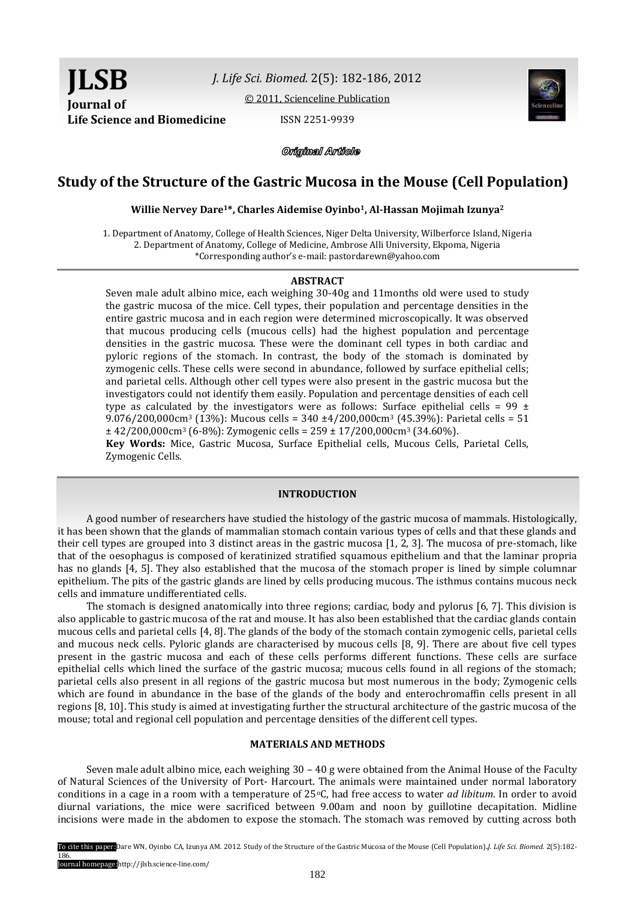**JLSB Journal of Life Science and Biomedicine**

*J. Life Sci. Biomed.* 2(5): 182-186, 2012

[© 2011, Scienceline Publication](http://www.science-line.com/index/)

ISSN 2251-9939



Original Article

# **Study of the Structure of the Gastric Mucosa in the Mouse (Cell Population)**

#### **Willie Nervey Dare1\*, Charles Aidemise Oyinbo1, Al-Hassan Mojimah Izunya<sup>2</sup>**

1. Department of Anatomy, College of Health Sciences, Niger Delta University, Wilberforce Island, Nigeria 2. Department of Anatomy, College of Medicine, Ambrose Alli University, Ekpoma, Nigeria \*Corresponding author's e-mail: pastordarewn@yahoo.com

#### **ABSTRACT**

Seven male adult albino mice, each weighing 30-40g and 11months old were used to study the gastric mucosa of the mice. Cell types, their population and percentage densities in the entire gastric mucosa and in each region were determined microscopically. It was observed that mucous producing cells (mucous cells) had the highest population and percentage densities in the gastric mucosa. These were the dominant cell types in both cardiac and pyloric regions of the stomach. In contrast, the body of the stomach is dominated by zymogenic cells. These cells were second in abundance, followed by surface epithelial cells; and parietal cells. Although other cell types were also present in the gastric mucosa but the investigators could not identify them easily. Population and percentage densities of each cell type as calculated by the investigators were as follows: Surface epithelial cells = 99  $\pm$ 9.076/200,000cm<sup>3</sup> (13%): Mucous cells =  $340 \pm 4/200,000$ cm<sup>3</sup> (45.39%): Parietal cells = 51  $\pm$  42/200,000cm<sup>3</sup> (6-8%): Zymogenic cells = 259  $\pm$  17/200,000cm<sup>3</sup> (34.60%). **Key Words:** Mice, Gastric Mucosa, Surface Epithelial cells, Mucous Cells, Parietal Cells, Zymogenic Cells.

## **INTRODUCTION**

A good number of researchers have studied the histology of the gastric mucosa of mammals. Histologically, it has been shown that the glands of mammalian stomach contain various types of cells and that these glands and their cell types are grouped into 3 distinct areas in the gastric mucosa [1, 2, 3]. The mucosa of pre-stomach, like that of the oesophagus is composed of keratinized stratified squamous epithelium and that the laminar propria has no glands [4, 5]. They also established that the mucosa of the stomach proper is lined by simple columnar epithelium. The pits of the gastric glands are lined by cells producing mucous. The isthmus contains mucous neck cells and immature undifferentiated cells.

The stomach is designed anatomically into three regions; cardiac, body and pylorus [6, 7]. This division is also applicable to gastric mucosa of the rat and mouse. It has also been established that the cardiac glands contain mucous cells and parietal cells [4, 8]. The glands of the body of the stomach contain zymogenic cells, parietal cells and mucous neck cells. Pyloric glands are characterised by mucous cells [8, 9]. There are about five cell types present in the gastric mucosa and each of these cells performs different functions. These cells are surface epithelial cells which lined the surface of the gastric mucosa; mucous cells found in all regions of the stomach; parietal cells also present in all regions of the gastric mucosa but most numerous in the body; Zymogenic cells which are found in abundance in the base of the glands of the body and enterochromaffin cells present in all regions [8, 10]. This study is aimed at investigating further the structural architecture of the gastric mucosa of the mouse; total and regional cell population and percentage densities of the different cell types.

#### **MATERIALS AND METHODS**

Seven male adult albino mice, each weighing 30 – 40 g were obtained from the Animal House of the Faculty of Natural Sciences of the University of Port- Harcourt. The animals were maintained under normal laboratory conditions in a cage in a room with a temperature of 25oC, had free access to water *ad libitum*. In order to avoid diurnal variations, the mice were sacrificed between 9.00am and noon by guillotine decapitation. Midline incisions were made in the abdomen to expose the stomach. The stomach was removed by cutting across both

To cite this paper:Dare WN, Oyinbo CA, Izunya AM. 2012. Study of the Structure of the Gastric Mucosa of the Mouse (Cell Population)**.***J. Life Sci. Biomed.* 2(5):182- 186.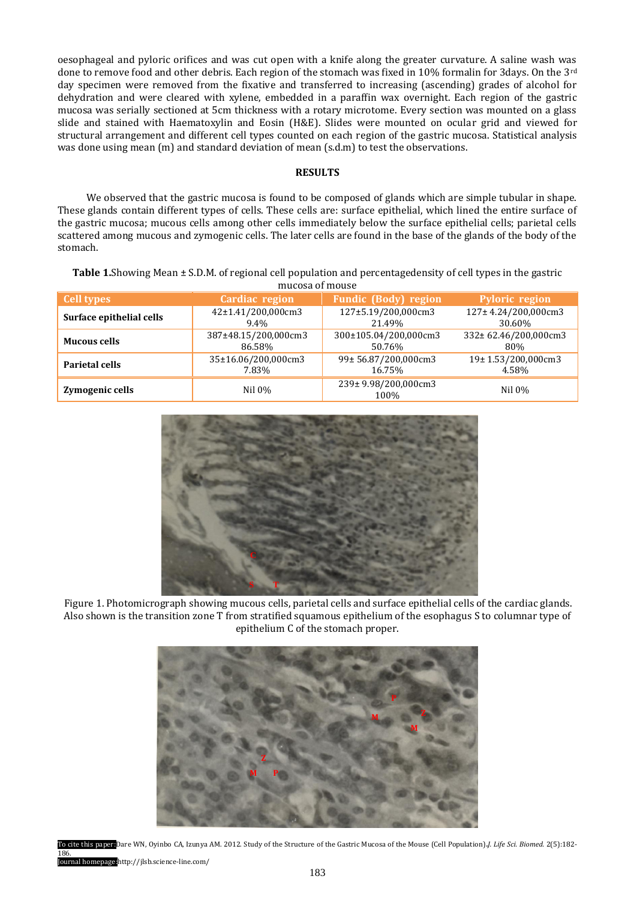oesophageal and pyloric orifices and was cut open with a knife along the greater curvature. A saline wash was done to remove food and other debris. Each region of the stomach was fixed in 10% formalin for 3days. On the 3rd day specimen were removed from the fixative and transferred to increasing (ascending) grades of alcohol for dehydration and were cleared with xylene, embedded in a paraffin wax overnight. Each region of the gastric mucosa was serially sectioned at 5cm thickness with a rotary microtome. Every section was mounted on a glass slide and stained with Haematoxylin and Eosin (H&E). Slides were mounted on ocular grid and viewed for structural arrangement and different cell types counted on each region of the gastric mucosa. Statistical analysis was done using mean (m) and standard deviation of mean (s.d.m) to test the observations.

# **RESULTS**

We observed that the gastric mucosa is found to be composed of glands which are simple tubular in shape. These glands contain different types of cells. These cells are: surface epithelial, which lined the entire surface of the gastric mucosa; mucous cells among other cells immediately below the surface epithelial cells; parietal cells scattered among mucous and zymogenic cells. The later cells are found in the base of the glands of the body of the stomach.

**Table 1.**Showing Mean ± S.D.M. of regional cell population and percentagedensity of cell types in the gastric mucosa of mouse

| <b>Cell types</b>        | Cardiac region       | <b>Fundic (Body) region</b>  | <b>Pyloric region</b> |
|--------------------------|----------------------|------------------------------|-----------------------|
| Surface epithelial cells | 42±1.41/200,000cm3   | 127±5.19/200,000cm3          | 127± 4.24/200,000cm3  |
|                          | 9.4%                 | 21.49%                       | 30.60%                |
| <b>Mucous cells</b>      | 387±48.15/200,000cm3 | 300±105.04/200,000cm3        | 332± 62.46/200,000cm3 |
|                          | 86.58%               | 50.76%                       | 80%                   |
| Parietal cells           | 35±16.06/200,000cm3  | 99± 56.87/200,000cm3         | 19± 1.53/200,000cm3   |
|                          | 7.83%                | 16.75%                       | 4.58%                 |
| Zymogenic cells          | $Nil 0\%$            | 239± 9.98/200,000cm3<br>100% | Nil 0%                |



Figure 1. Photomicrograph showing mucous cells, parietal cells and surface epithelial cells of the cardiac glands. Also shown is the transition zone T from stratified squamous epithelium of the esophagus S to columnar type of epithelium C of the stomach proper.



To cite this paper:Dare WN, Oyinbo CA, Izunya AM. 2012. Study of the Structure of the Gastric Mucosa of the Mouse (Cell Population)**.***J. Life Sci. Biomed.* 2(5):182- 186. Journal homepage:http://jlsb.science-line.com/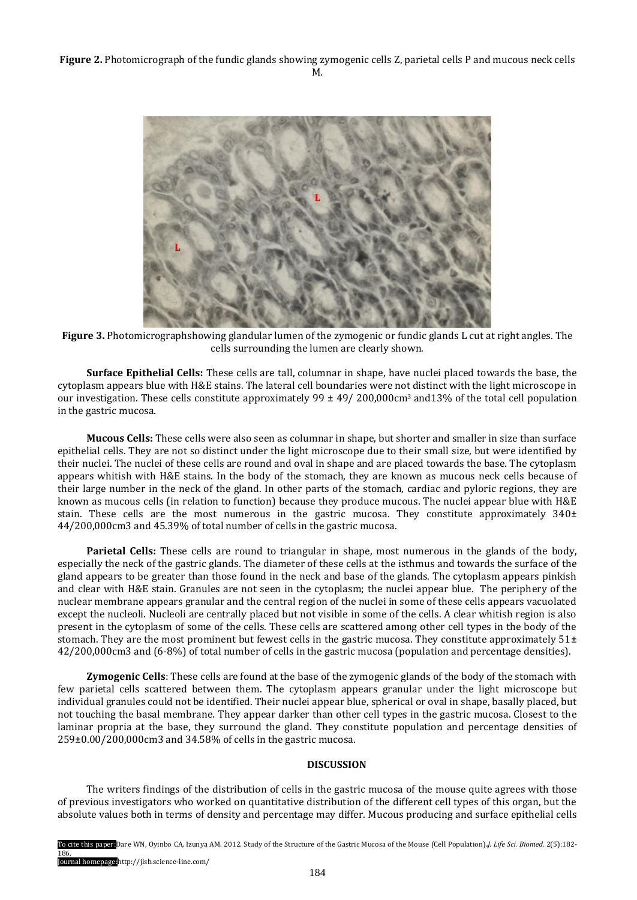**Figure 2.** Photomicrograph of the fundic glands showing zymogenic cells Z, parietal cells P and mucous neck cells M.



**Figure 3.** Photomicrographshowing glandular lumen of the zymogenic or fundic glands L cut at right angles. The cells surrounding the lumen are clearly shown.

**Surface Epithelial Cells:** These cells are tall, columnar in shape, have nuclei placed towards the base, the cytoplasm appears blue with H&E stains. The lateral cell boundaries were not distinct with the light microscope in our investigation. These cells constitute approximately  $99 \pm 49/200,000 \text{cm}^3$  and 13% of the total cell population in the gastric mucosa.

**Mucous Cells:** These cells were also seen as columnar in shape, but shorter and smaller in size than surface epithelial cells. They are not so distinct under the light microscope due to their small size, but were identified by their nuclei. The nuclei of these cells are round and oval in shape and are placed towards the base. The cytoplasm appears whitish with H&E stains. In the body of the stomach, they are known as mucous neck cells because of their large number in the neck of the gland. In other parts of the stomach, cardiac and pyloric regions, they are known as mucous cells (in relation to function) because they produce mucous. The nuclei appear blue with H&E stain. These cells are the most numerous in the gastric mucosa. They constitute approximately  $340<sup>±</sup>$ 44/200,000cm3 and 45.39% of total number of cells in the gastric mucosa.

**Parietal Cells:** These cells are round to triangular in shape, most numerous in the glands of the body, especially the neck of the gastric glands. The diameter of these cells at the isthmus and towards the surface of the gland appears to be greater than those found in the neck and base of the glands. The cytoplasm appears pinkish and clear with H&E stain. Granules are not seen in the cytoplasm; the nuclei appear blue. The periphery of the nuclear membrane appears granular and the central region of the nuclei in some of these cells appears vacuolated except the nucleoli. Nucleoli are centrally placed but not visible in some of the cells. A clear whitish region is also present in the cytoplasm of some of the cells. These cells are scattered among other cell types in the body of the stomach. They are the most prominent but fewest cells in the gastric mucosa. They constitute approximately  $51\pm$ 42/200,000cm3 and (6-8%) of total number of cells in the gastric mucosa (population and percentage densities).

**Zymogenic Cells**: These cells are found at the base of the zymogenic glands of the body of the stomach with few parietal cells scattered between them. The cytoplasm appears granular under the light microscope but individual granules could not be identified. Their nuclei appear blue, spherical or oval in shape, basally placed, but not touching the basal membrane. They appear darker than other cell types in the gastric mucosa. Closest to the laminar propria at the base, they surround the gland. They constitute population and percentage densities of 259±0.00/200,000cm3 and 34.58% of cells in the gastric mucosa.

#### **DISCUSSION**

The writers findings of the distribution of cells in the gastric mucosa of the mouse quite agrees with those of previous investigators who worked on quantitative distribution of the different cell types of this organ, but the absolute values both in terms of density and percentage may differ. Mucous producing and surface epithelial cells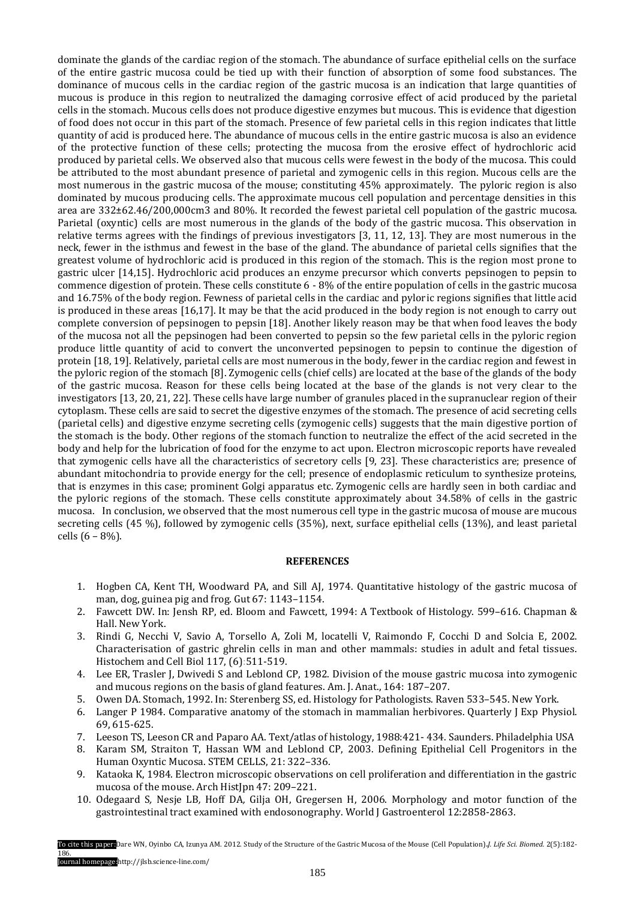dominate the glands of the cardiac region of the stomach. The abundance of surface epithelial cells on the surface of the entire gastric mucosa could be tied up with their function of absorption of some food substances. The dominance of mucous cells in the cardiac region of the gastric mucosa is an indication that large quantities of mucous is produce in this region to neutralized the damaging corrosive effect of acid produced by the parietal cells in the stomach. Mucous cells does not produce digestive enzymes but mucous. This is evidence that digestion of food does not occur in this part of the stomach. Presence of few parietal cells in this region indicates that little quantity of acid is produced here. The abundance of mucous cells in the entire gastric mucosa is also an evidence of the protective function of these cells; protecting the mucosa from the erosive effect of hydrochloric acid produced by parietal cells. We observed also that mucous cells were fewest in the body of the mucosa. This could be attributed to the most abundant presence of parietal and zymogenic cells in this region. Mucous cells are the most numerous in the gastric mucosa of the mouse; constituting 45% approximately. The pyloric region is also dominated by mucous producing cells. The approximate mucous cell population and percentage densities in this area are 332±62.46/200,000cm3 and 80%. It recorded the fewest parietal cell population of the gastric mucosa. Parietal (oxyntic) cells are most numerous in the glands of the body of the gastric mucosa. This observation in relative terms agrees with the findings of previous investigators [3, 11, 12, 13]. They are most numerous in the neck, fewer in the isthmus and fewest in the base of the gland. The abundance of parietal cells signifies that the greatest volume of hydrochloric acid is produced in this region of the stomach. This is the region most prone to gastric ulcer [14,15]. Hydrochloric acid produces an enzyme precursor which converts pepsinogen to pepsin to commence digestion of protein. These cells constitute 6 - 8% of the entire population of cells in the gastric mucosa and 16.75% of the body region. Fewness of parietal cells in the cardiac and pyloric regions signifies that little acid is produced in these areas [16,17]. It may be that the acid produced in the body region is not enough to carry out complete conversion of pepsinogen to pepsin [18]. Another likely reason may be that when food leaves the body of the mucosa not all the pepsinogen had been converted to pepsin so the few parietal cells in the pyloric region produce little quantity of acid to convert the unconverted pepsinogen to pepsin to continue the digestion of protein [18, 19]. Relatively, parietal cells are most numerous in the body, fewer in the cardiac region and fewest in the pyloric region of the stomach [8]. Zymogenic cells (chief cells) are located at the base of the glands of the body of the gastric mucosa. Reason for these cells being located at the base of the glands is not very clear to the investigators [13, 20, 21, 22]. These cells have large number of granules placed in the supranuclear region of their cytoplasm. These cells are said to secret the digestive enzymes of the stomach. The presence of acid secreting cells (parietal cells) and digestive enzyme secreting cells (zymogenic cells) suggests that the main digestive portion of the stomach is the body. Other regions of the stomach function to neutralize the effect of the acid secreted in the body and help for the lubrication of food for the enzyme to act upon. Electron microscopic reports have revealed that zymogenic cells have all the characteristics of secretory cells [9, 23]. These characteristics are; presence of abundant mitochondria to provide energy for the cell; presence of endoplasmic reticulum to synthesize proteins, that is enzymes in this case; prominent Golgi apparatus etc. Zymogenic cells are hardly seen in both cardiac and the pyloric regions of the stomach. These cells constitute approximately about 34.58% of cells in the gastric mucosa. In conclusion, we observed that the most numerous cell type in the gastric mucosa of mouse are mucous secreting cells (45 %), followed by zymogenic cells (35%), next, surface epithelial cells (13%), and least parietal cells (6 – 8%).

## **REFERENCES**

- 1. Hogben CA, Kent TH, Woodward PA, and Sill AJ, 1974. Quantitative histology of the gastric mucosa of man, dog, guinea pig and frog. Gut 67: 1143–1154.
- 2. Fawcett DW. In: Jensh RP, ed. Bloom and Fawcett, 1994: A Textbook of Histology. 599–616. Chapman & Hall. New York.
- 3. Rindi G, Necchi V, Savio A, Torsello A, Zoli M, locatelli V, Raimondo F, Cocchi D and Solcia E, 2002. Characterisation of gastric ghrelin cells in man and other mammals: studies in adult and fetal tissues. Histochem and Cell Biol 117, (6):511-519.
- 4. Lee ER, Trasler J, Dwivedi S and Leblond CP, 1982. Division of the mouse gastric mucosa into zymogenic and mucous regions on the basis of gland features. Am. J. Anat., 164: 187–207.
- 5. Owen DA. Stomach, 1992. In: Sterenberg SS, ed. Histology for Pathologists. Raven 533–545. New York.
- 6. Langer P 1984. Comparative anatomy of the stomach in mammalian herbivores. Quarterly J Exp Physiol. 69, 615-625.
- 7. Leeson TS, Leeson CR and Paparo AA. Text/atlas of histology, 1988:421- 434. Saunders. Philadelphia USA
- 8. Karam SM, Straiton T, Hassan WM and Leblond CP, 2003. Defining Epithelial Cell Progenitors in the Human Oxyntic Mucosa. STEM CELLS, 21: 322–336.
- 9. Kataoka K, 1984. Electron microscopic observations on cell proliferation and differentiation in the gastric mucosa of the mouse. Arch HistJpn 47: 209–221.
- 10. Odegaard S*,* Nesje LB*,* Hoff DA*,* Gilja OH, Gregersen H, 2006. Morphology and motor function of the gastrointestinal tract examined with endosonography. World J Gastroenterol 12:2858-2863.

To cite this paper:Dare WN, Oyinbo CA, Izunya AM. 2012. Study of the Structure of the Gastric Mucosa of the Mouse (Cell Population)**.***J. Life Sci. Biomed.* 2(5):182- 186. Journal homepage:http://jlsb.science-line.com/